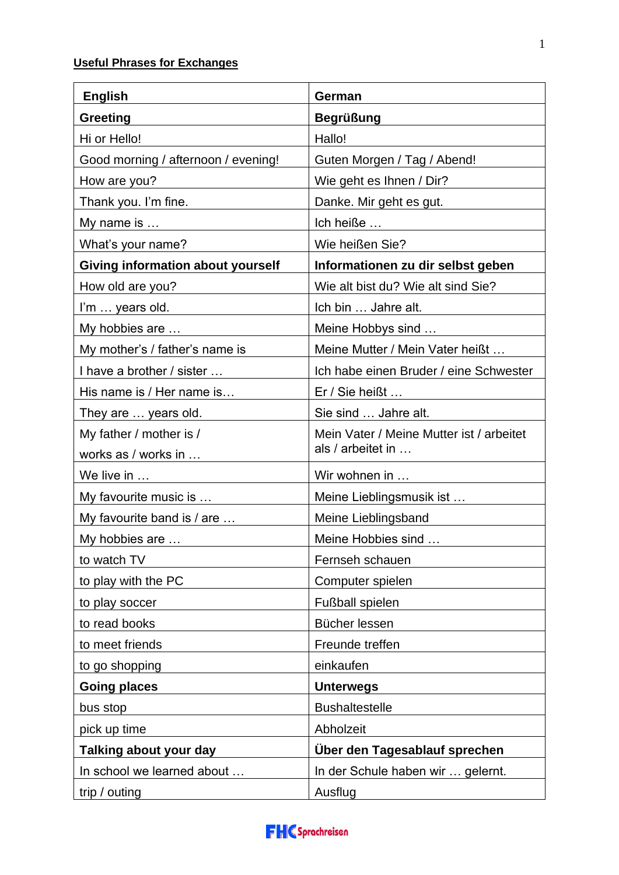## **Useful Phrases for Exchanges**

| <b>English</b>                           | German                                   |
|------------------------------------------|------------------------------------------|
| <b>Greeting</b>                          | <b>Begrüßung</b>                         |
| Hi or Hello!                             | Hallo!                                   |
| Good morning / afternoon / evening!      | Guten Morgen / Tag / Abend!              |
| How are you?                             | Wie geht es Ihnen / Dir?                 |
| Thank you. I'm fine.                     | Danke. Mir geht es gut.                  |
| My name is                               | Ich heiße                                |
| What's your name?                        | Wie heißen Sie?                          |
| <b>Giving information about yourself</b> | Informationen zu dir selbst geben        |
| How old are you?                         | Wie alt bist du? Wie alt sind Sie?       |
| I'm  years old.                          | Ich bin  Jahre alt.                      |
| My hobbies are                           | Meine Hobbys sind                        |
| My mother's / father's name is           | Meine Mutter / Mein Vater heißt          |
| I have a brother / sister                | Ich habe einen Bruder / eine Schwester   |
| His name is / Her name is                | Er / Sie heißt                           |
| They are  years old.                     | Sie sind  Jahre alt.                     |
| My father / mother is /                  | Mein Vater / Meine Mutter ist / arbeitet |
| works as / works in                      | als / arbeitet in                        |
| We live in                               | Wir wohnen in                            |
| My favourite music is                    | Meine Lieblingsmusik ist                 |
| My favourite band is / are               | Meine Lieblingsband                      |
| My hobbies are                           | Meine Hobbies sind                       |
| to watch TV                              | Fernseh schauen                          |
| to play with the PC                      | Computer spielen                         |
| to play soccer                           | Fußball spielen                          |
| to read books                            | Bücher lessen                            |
| to meet friends                          | Freunde treffen                          |
| to go shopping                           | einkaufen                                |
| <b>Going places</b>                      | <b>Unterwegs</b>                         |
| bus stop                                 | <b>Bushaltestelle</b>                    |
| pick up time                             | Abholzeit                                |
| Talking about your day                   | Über den Tagesablauf sprechen            |
| In school we learned about               | In der Schule haben wir  gelernt.        |
| trip / outing                            | Ausflug                                  |

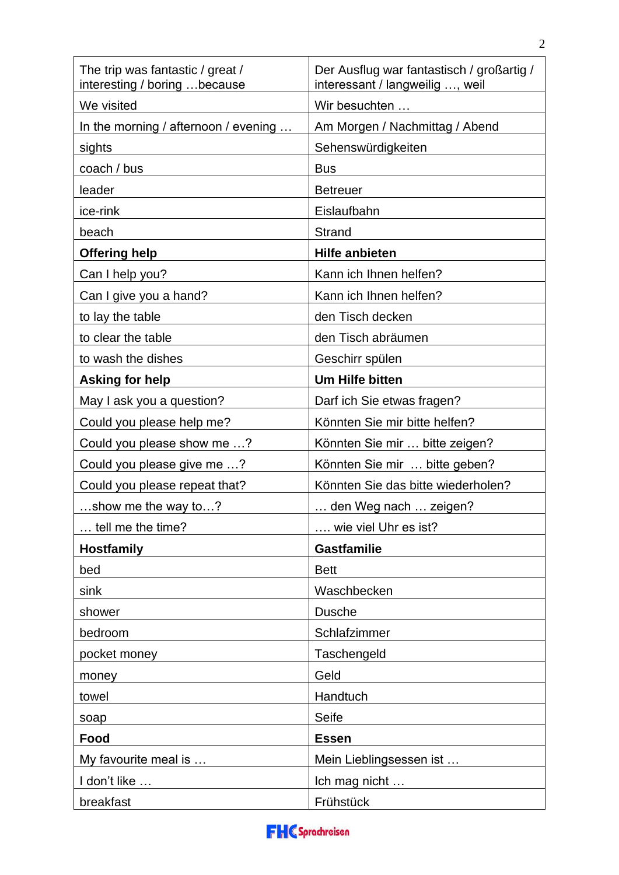| The trip was fantastic / great /<br>interesting / boring  because | Der Ausflug war fantastisch / großartig /<br>interessant / langweilig , weil |
|-------------------------------------------------------------------|------------------------------------------------------------------------------|
| We visited                                                        | Wir besuchten                                                                |
| In the morning / afternoon / evening $\dots$                      | Am Morgen / Nachmittag / Abend                                               |
| sights                                                            | Sehenswürdigkeiten                                                           |
| coach / bus                                                       | <b>Bus</b>                                                                   |
| leader                                                            | <b>Betreuer</b>                                                              |
| ice-rink                                                          | Eislaufbahn                                                                  |
| beach                                                             | Strand                                                                       |
| <b>Offering help</b>                                              | <b>Hilfe anbieten</b>                                                        |
| Can I help you?                                                   | Kann ich Ihnen helfen?                                                       |
| Can I give you a hand?                                            | Kann ich Ihnen helfen?                                                       |
| to lay the table                                                  | den Tisch decken                                                             |
| to clear the table                                                | den Tisch abräumen                                                           |
| to wash the dishes                                                | Geschirr spülen                                                              |
| <b>Asking for help</b>                                            | <b>Um Hilfe bitten</b>                                                       |
| May I ask you a question?                                         | Darf ich Sie etwas fragen?                                                   |
| Could you please help me?                                         | Könnten Sie mir bitte helfen?                                                |
| Could you please show me ?                                        | Könnten Sie mir  bitte zeigen?                                               |
| Could you please give me ?                                        | Könnten Sie mir  bitte geben?                                                |
| Could you please repeat that?                                     | Könnten Sie das bitte wiederholen?                                           |
| show me the way to?                                               | den Weg nach  zeigen?                                                        |
| tell me the time?                                                 | wie viel Uhr es ist?                                                         |
| <b>Hostfamily</b>                                                 | <b>Gastfamilie</b>                                                           |
| bed                                                               | <b>Bett</b>                                                                  |
| sink                                                              | Waschbecken                                                                  |
| shower                                                            | <b>Dusche</b>                                                                |
| bedroom                                                           | Schlafzimmer                                                                 |
| pocket money                                                      | Taschengeld                                                                  |
| money                                                             | Geld                                                                         |
| towel                                                             | Handtuch                                                                     |
| soap                                                              | Seife                                                                        |
| Food                                                              | <b>Essen</b>                                                                 |
| My favourite meal is                                              | Mein Lieblingsessen ist                                                      |
| I don't like                                                      | Ich mag nicht                                                                |
| breakfast                                                         | Frühstück                                                                    |

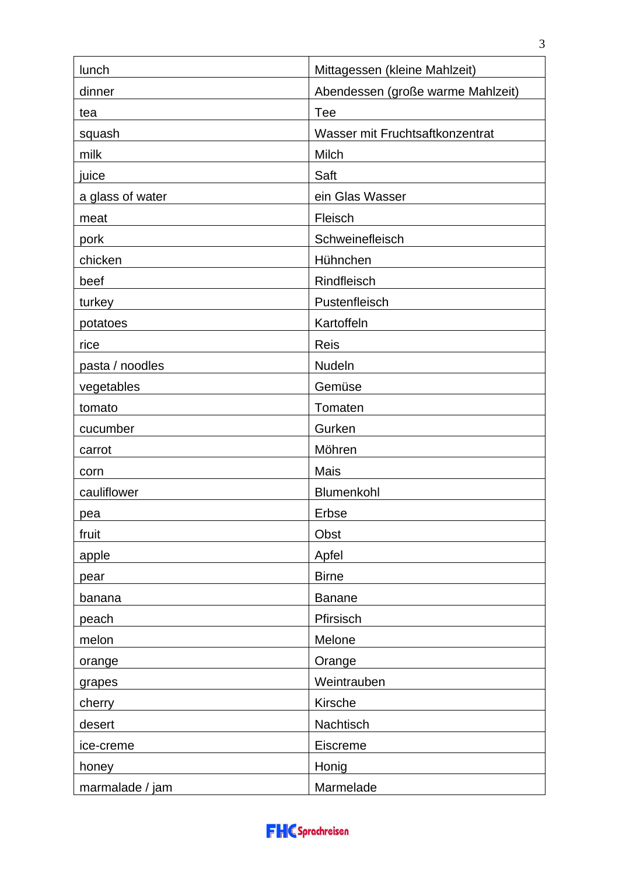| lunch            | Mittagessen (kleine Mahlzeit)     |
|------------------|-----------------------------------|
| dinner           | Abendessen (große warme Mahlzeit) |
| tea              | Tee                               |
| squash           | Wasser mit Fruchtsaftkonzentrat   |
| milk             | Milch                             |
| juice            | Saft                              |
| a glass of water | ein Glas Wasser                   |
| meat             | Fleisch                           |
| pork             | Schweinefleisch                   |
| chicken          | Hühnchen                          |
| beef             | Rindfleisch                       |
| turkey           | Pustenfleisch                     |
| potatoes         | Kartoffeln                        |
| rice             | <b>Reis</b>                       |
| pasta / noodles  | Nudeln                            |
| vegetables       | Gemüse                            |
| tomato           | Tomaten                           |
| cucumber         | Gurken                            |
| carrot           | Möhren                            |
| corn             | Mais                              |
| cauliflower      | Blumenkohl                        |
| pea              | Erbse                             |
| fruit            | Obst                              |
| apple            | Apfel                             |
| pear             | <b>Birne</b>                      |
| banana           | <b>Banane</b>                     |
| peach            | Pfirsisch                         |
| melon            | Melone                            |
| orange           | Orange                            |
| grapes           | Weintrauben                       |
| cherry           | Kirsche                           |
| desert           | Nachtisch                         |
| ice-creme        | Eiscreme                          |
| honey            | Honig                             |
| marmalade / jam  | Marmelade                         |

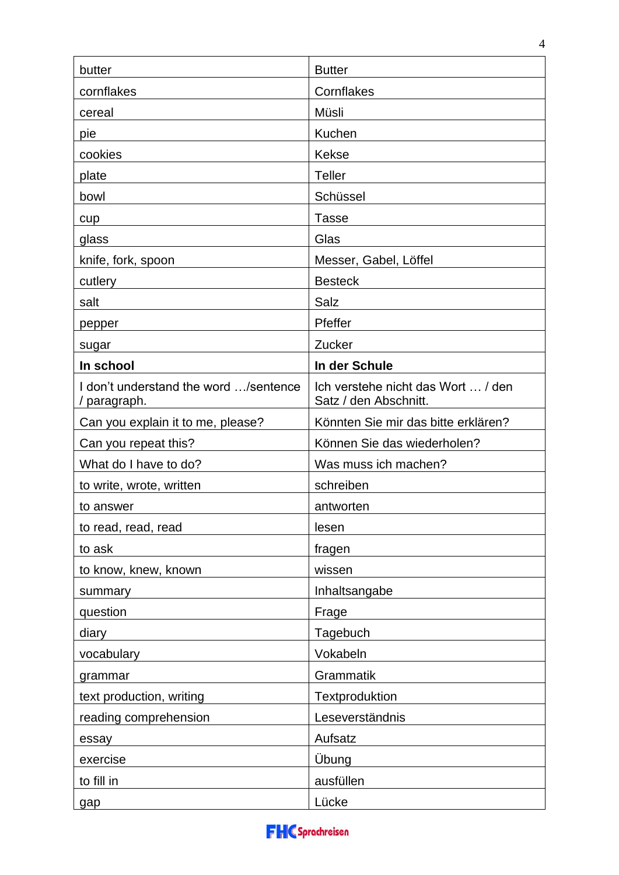| butter                                                | <b>Butter</b>                                               |
|-------------------------------------------------------|-------------------------------------------------------------|
| cornflakes                                            | Cornflakes                                                  |
| cereal                                                | Müsli                                                       |
| pie                                                   | Kuchen                                                      |
| cookies                                               | <b>Kekse</b>                                                |
| plate                                                 | <b>Teller</b>                                               |
| bowl                                                  | Schüssel                                                    |
| cup                                                   | <b>Tasse</b>                                                |
| glass                                                 | Glas                                                        |
| knife, fork, spoon                                    | Messer, Gabel, Löffel                                       |
| cutlery                                               | <b>Besteck</b>                                              |
| salt                                                  | Salz                                                        |
| pepper                                                | Pfeffer                                                     |
| sugar                                                 | Zucker                                                      |
| In school                                             | In der Schule                                               |
| I don't understand the word /sentence<br>/ paragraph. | Ich verstehe nicht das Wort  / den<br>Satz / den Abschnitt. |
| Can you explain it to me, please?                     | Könnten Sie mir das bitte erklären?                         |
| Can you repeat this?                                  | Können Sie das wiederholen?                                 |
| What do I have to do?                                 | Was muss ich machen?                                        |
| to write, wrote, written                              | schreiben                                                   |
| to answer                                             | antworten                                                   |
| to read, read, read                                   | lesen                                                       |
| to ask                                                | fragen                                                      |
| to know, knew, known                                  | wissen                                                      |
| summary                                               | Inhaltsangabe                                               |
| question                                              | Frage                                                       |
| diary                                                 | Tagebuch                                                    |
| vocabulary                                            | Vokabeln                                                    |
| grammar                                               | Grammatik                                                   |
| text production, writing                              | Textproduktion                                              |
| reading comprehension                                 | Leseverständnis                                             |
| essay                                                 | Aufsatz                                                     |
| exercise                                              | Übung                                                       |
| to fill in                                            | ausfüllen                                                   |
| gap                                                   | Lücke                                                       |